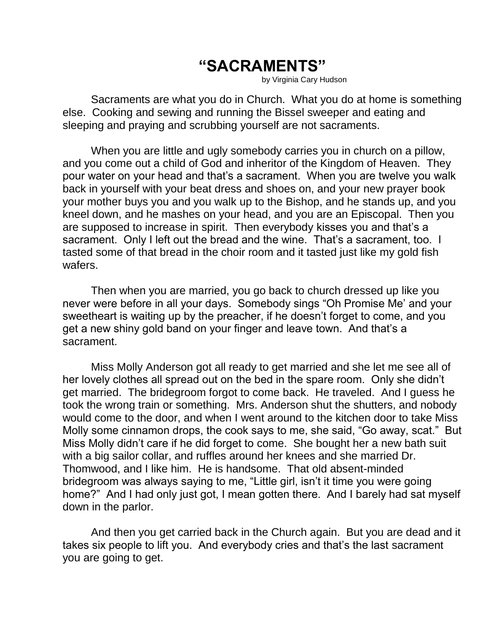## **"SACRAMENTS"**

by Virginia Cary Hudson

Sacraments are what you do in Church. What you do at home is something else. Cooking and sewing and running the Bissel sweeper and eating and sleeping and praying and scrubbing yourself are not sacraments.

When you are little and ugly somebody carries you in church on a pillow, and you come out a child of God and inheritor of the Kingdom of Heaven. They pour water on your head and that's a sacrament. When you are twelve you walk back in yourself with your beat dress and shoes on, and your new prayer book your mother buys you and you walk up to the Bishop, and he stands up, and you kneel down, and he mashes on your head, and you are an Episcopal. Then you are supposed to increase in spirit. Then everybody kisses you and that's a sacrament. Only I left out the bread and the wine. That's a sacrament, too. I tasted some of that bread in the choir room and it tasted just like my gold fish wafers.

Then when you are married, you go back to church dressed up like you never were before in all your days. Somebody sings "Oh Promise Me' and your sweetheart is waiting up by the preacher, if he doesn't forget to come, and you get a new shiny gold band on your finger and leave town. And that's a sacrament.

Miss Molly Anderson got all ready to get married and she let me see all of her lovely clothes all spread out on the bed in the spare room. Only she didn't get married. The bridegroom forgot to come back. He traveled. And I guess he took the wrong train or something. Mrs. Anderson shut the shutters, and nobody would come to the door, and when I went around to the kitchen door to take Miss Molly some cinnamon drops, the cook says to me, she said, "Go away, scat." But Miss Molly didn't care if he did forget to come. She bought her a new bath suit with a big sailor collar, and ruffles around her knees and she married Dr. Thomwood, and I like him. He is handsome. That old absent-minded bridegroom was always saying to me, "Little girl, isn't it time you were going home?" And I had only just got, I mean gotten there. And I barely had sat myself down in the parlor.

And then you get carried back in the Church again. But you are dead and it takes six people to lift you. And everybody cries and that's the last sacrament you are going to get.